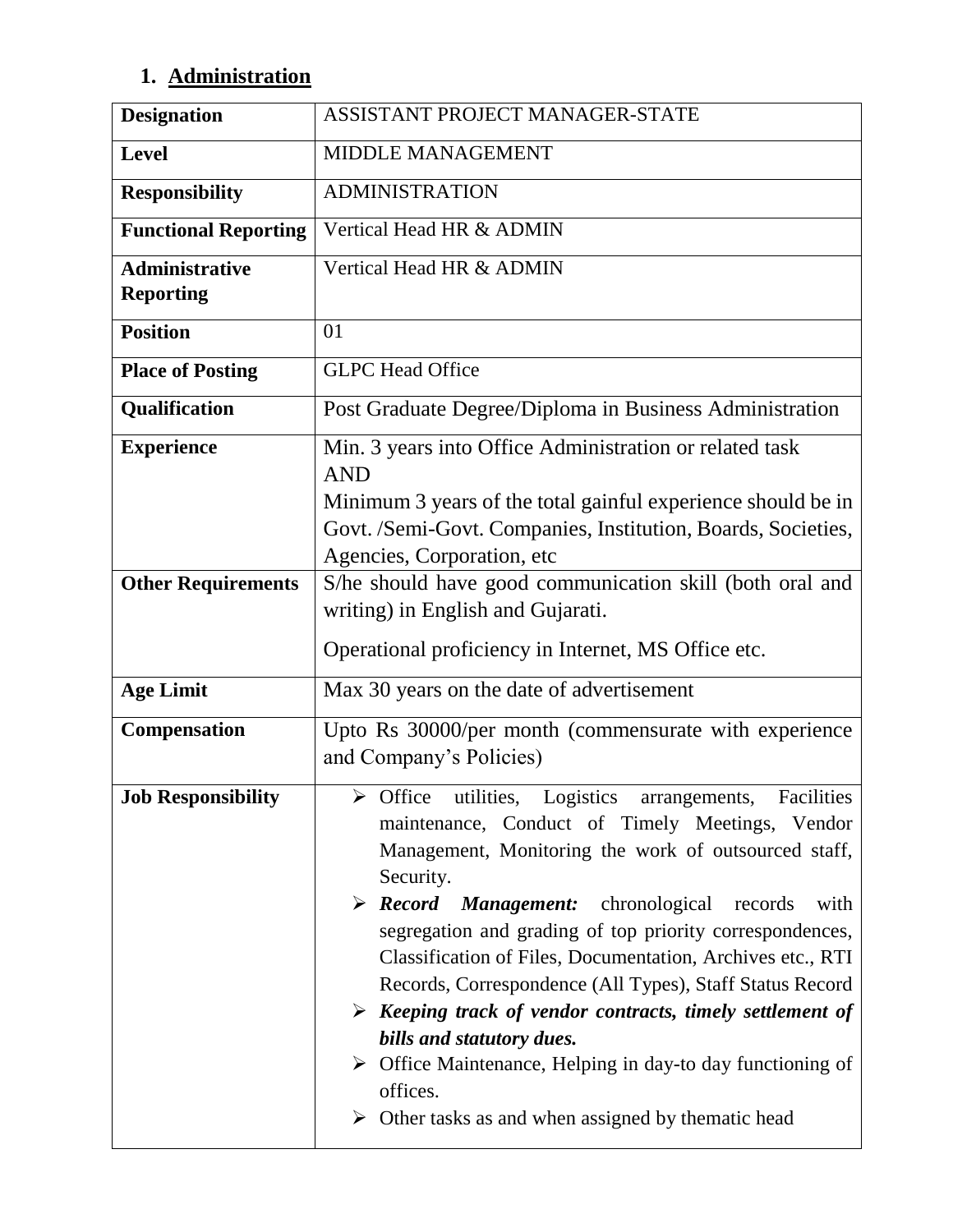## **1. Administration**

| <b>Designation</b>                        | ASSISTANT PROJECT MANAGER-STATE                                                                                                                                                                                                                                                                                                                                                                                                                                                                                                                                                                                                                                                                                                          |
|-------------------------------------------|------------------------------------------------------------------------------------------------------------------------------------------------------------------------------------------------------------------------------------------------------------------------------------------------------------------------------------------------------------------------------------------------------------------------------------------------------------------------------------------------------------------------------------------------------------------------------------------------------------------------------------------------------------------------------------------------------------------------------------------|
| <b>Level</b>                              | <b>MIDDLE MANAGEMENT</b>                                                                                                                                                                                                                                                                                                                                                                                                                                                                                                                                                                                                                                                                                                                 |
| <b>Responsibility</b>                     | <b>ADMINISTRATION</b>                                                                                                                                                                                                                                                                                                                                                                                                                                                                                                                                                                                                                                                                                                                    |
| <b>Functional Reporting</b>               | Vertical Head HR & ADMIN                                                                                                                                                                                                                                                                                                                                                                                                                                                                                                                                                                                                                                                                                                                 |
| <b>Administrative</b><br><b>Reporting</b> | Vertical Head HR & ADMIN                                                                                                                                                                                                                                                                                                                                                                                                                                                                                                                                                                                                                                                                                                                 |
| <b>Position</b>                           | 01                                                                                                                                                                                                                                                                                                                                                                                                                                                                                                                                                                                                                                                                                                                                       |
| <b>Place of Posting</b>                   | <b>GLPC Head Office</b>                                                                                                                                                                                                                                                                                                                                                                                                                                                                                                                                                                                                                                                                                                                  |
| Qualification                             | Post Graduate Degree/Diploma in Business Administration                                                                                                                                                                                                                                                                                                                                                                                                                                                                                                                                                                                                                                                                                  |
| <b>Experience</b>                         | Min. 3 years into Office Administration or related task<br><b>AND</b><br>Minimum 3 years of the total gainful experience should be in<br>Govt. /Semi-Govt. Companies, Institution, Boards, Societies,<br>Agencies, Corporation, etc                                                                                                                                                                                                                                                                                                                                                                                                                                                                                                      |
| <b>Other Requirements</b>                 | S/he should have good communication skill (both oral and<br>writing) in English and Gujarati.<br>Operational proficiency in Internet, MS Office etc.                                                                                                                                                                                                                                                                                                                                                                                                                                                                                                                                                                                     |
| <b>Age Limit</b>                          | Max 30 years on the date of advertisement                                                                                                                                                                                                                                                                                                                                                                                                                                                                                                                                                                                                                                                                                                |
| Compensation                              | Upto Rs 30000/per month (commensurate with experience<br>and Company's Policies)                                                                                                                                                                                                                                                                                                                                                                                                                                                                                                                                                                                                                                                         |
| <b>Job Responsibility</b>                 | $\triangleright$ Office utilities, Logistics arrangements, Facilities<br>maintenance, Conduct of Timely Meetings, Vendor<br>Management, Monitoring the work of outsourced staff,<br>Security.<br>$\triangleright$ <b>Record Management:</b> chronological records<br>with<br>segregation and grading of top priority correspondences,<br>Classification of Files, Documentation, Archives etc., RTI<br>Records, Correspondence (All Types), Staff Status Record<br>$\triangleright$ Keeping track of vendor contracts, timely settlement of<br>bills and statutory dues.<br>$\triangleright$ Office Maintenance, Helping in day-to day functioning of<br>offices.<br>$\triangleright$ Other tasks as and when assigned by the matic head |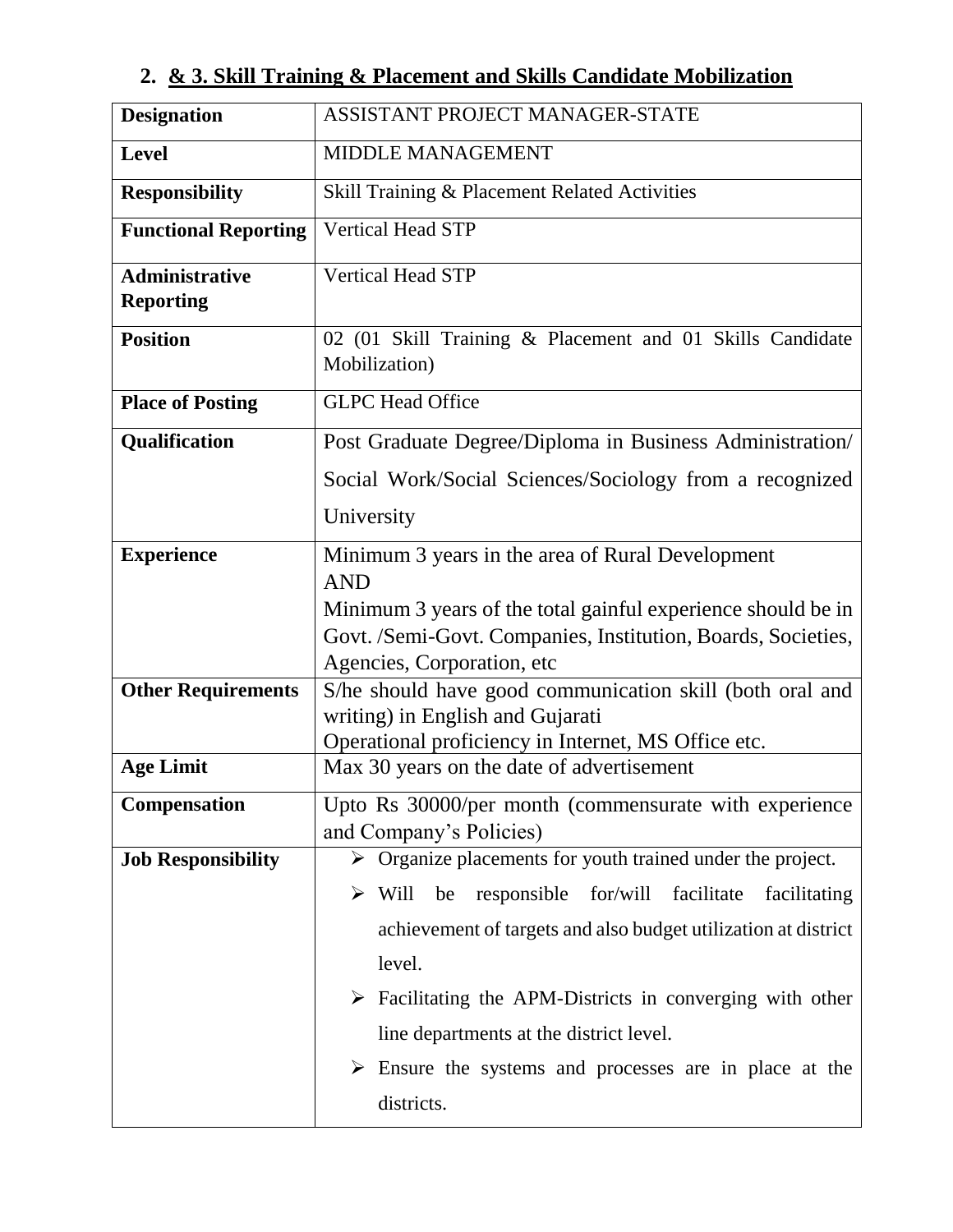## **2. & 3. Skill Training & Placement and Skills Candidate Mobilization**

| <b>Designation</b>                        | ASSISTANT PROJECT MANAGER-STATE                                                                                              |
|-------------------------------------------|------------------------------------------------------------------------------------------------------------------------------|
| <b>Level</b>                              | <b>MIDDLE MANAGEMENT</b>                                                                                                     |
| <b>Responsibility</b>                     | Skill Training & Placement Related Activities                                                                                |
| <b>Functional Reporting</b>               | <b>Vertical Head STP</b>                                                                                                     |
| <b>Administrative</b><br><b>Reporting</b> | <b>Vertical Head STP</b>                                                                                                     |
| <b>Position</b>                           | 02 (01 Skill Training & Placement and 01 Skills Candidate<br>Mobilization)                                                   |
| <b>Place of Posting</b>                   | <b>GLPC</b> Head Office                                                                                                      |
| Qualification                             | Post Graduate Degree/Diploma in Business Administration/                                                                     |
|                                           | Social Work/Social Sciences/Sociology from a recognized                                                                      |
|                                           | University                                                                                                                   |
| <b>Experience</b>                         | Minimum 3 years in the area of Rural Development                                                                             |
|                                           | <b>AND</b>                                                                                                                   |
|                                           | Minimum 3 years of the total gainful experience should be in<br>Govt. /Semi-Govt. Companies, Institution, Boards, Societies, |
|                                           | Agencies, Corporation, etc.                                                                                                  |
| <b>Other Requirements</b>                 | S/he should have good communication skill (both oral and                                                                     |
|                                           | writing) in English and Gujarati                                                                                             |
| <b>Age Limit</b>                          | Operational proficiency in Internet, MS Office etc.<br>Max 30 years on the date of advertisement                             |
|                                           |                                                                                                                              |
| <b>Compensation</b>                       | Upto Rs 30000/per month (commensurate with experience<br>and Company's Policies)                                             |
| <b>Job Responsibility</b>                 | $\triangleright$ Organize placements for youth trained under the project.                                                    |
|                                           | $\triangleright$ Will<br>for/will<br>facilitate<br>be<br>responsible<br>facilitating                                         |
|                                           |                                                                                                                              |
|                                           | achievement of targets and also budget utilization at district                                                               |
|                                           | level.                                                                                                                       |
|                                           | $\triangleright$ Facilitating the APM-Districts in converging with other                                                     |
|                                           | line departments at the district level.                                                                                      |
|                                           | $\triangleright$ Ensure the systems and processes are in place at the                                                        |
|                                           | districts.                                                                                                                   |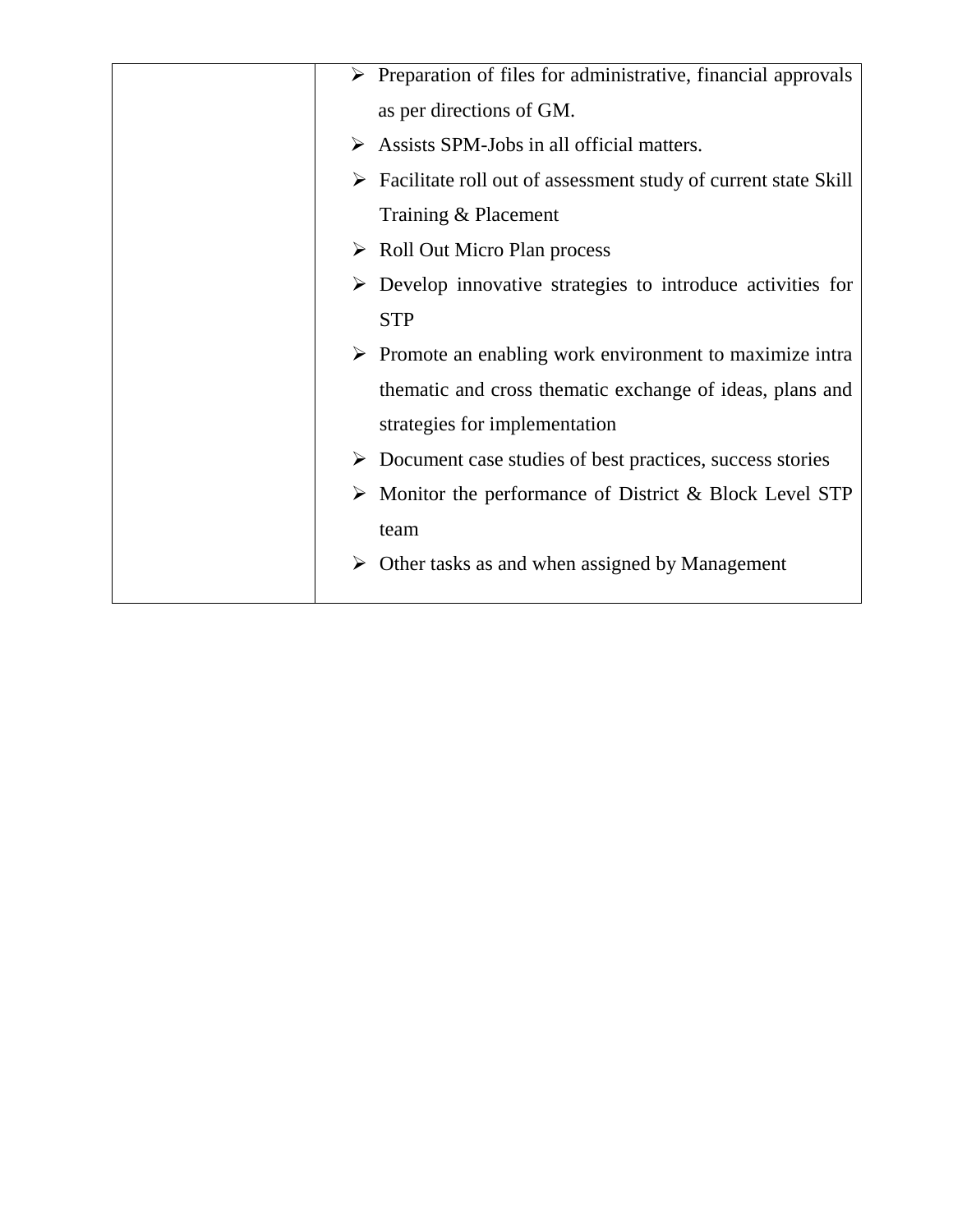|   | $\triangleright$ Preparation of files for administrative, financial approvals |
|---|-------------------------------------------------------------------------------|
|   | as per directions of GM.                                                      |
| ➤ | Assists SPM-Jobs in all official matters.                                     |
| ➤ | Facilitate roll out of assessment study of current state Skill                |
|   | Training & Placement                                                          |
|   | $\triangleright$ Roll Out Micro Plan process                                  |
|   | Develop innovative strategies to introduce activities for                     |
|   | <b>STP</b>                                                                    |
|   | $\triangleright$ Promote an enabling work environment to maximize intra       |
|   | thematic and cross thematic exchange of ideas, plans and                      |
|   | strategies for implementation                                                 |
|   | $\triangleright$ Document case studies of best practices, success stories     |
|   | Monitor the performance of District & Block Level STP                         |
|   | team                                                                          |
|   | $\triangleright$ Other tasks as and when assigned by Management               |
|   |                                                                               |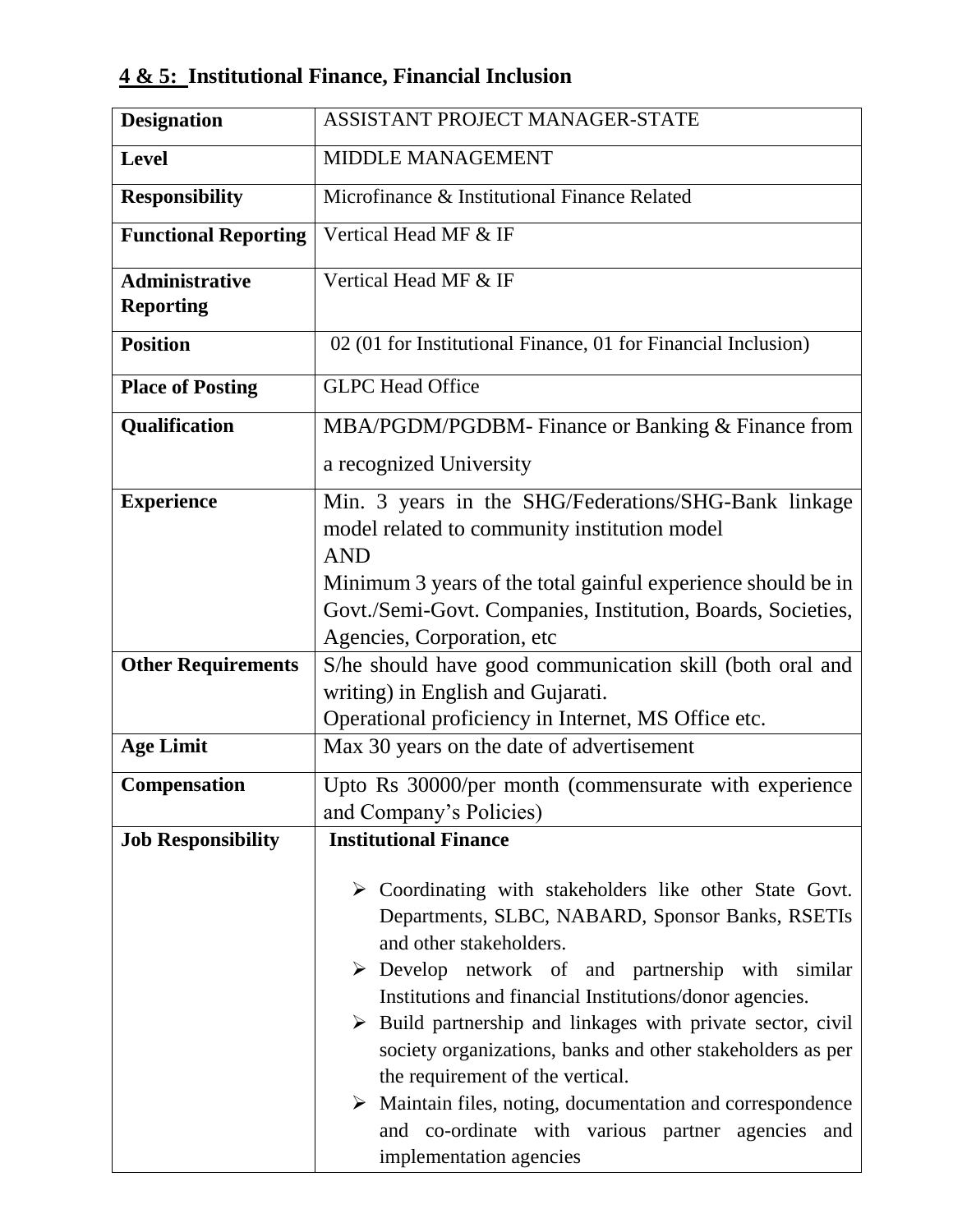## **4 & 5: Institutional Finance, Financial Inclusion**

| <b>Designation</b>                        | ASSISTANT PROJECT MANAGER-STATE                                                                                                                                                                                                                                                                                                                                                                                                                                                                                                                                                                                                      |
|-------------------------------------------|--------------------------------------------------------------------------------------------------------------------------------------------------------------------------------------------------------------------------------------------------------------------------------------------------------------------------------------------------------------------------------------------------------------------------------------------------------------------------------------------------------------------------------------------------------------------------------------------------------------------------------------|
| <b>Level</b>                              | <b>MIDDLE MANAGEMENT</b>                                                                                                                                                                                                                                                                                                                                                                                                                                                                                                                                                                                                             |
| <b>Responsibility</b>                     | Microfinance & Institutional Finance Related                                                                                                                                                                                                                                                                                                                                                                                                                                                                                                                                                                                         |
| <b>Functional Reporting</b>               | Vertical Head MF & IF                                                                                                                                                                                                                                                                                                                                                                                                                                                                                                                                                                                                                |
| <b>Administrative</b><br><b>Reporting</b> | Vertical Head MF & IF                                                                                                                                                                                                                                                                                                                                                                                                                                                                                                                                                                                                                |
| <b>Position</b>                           | 02 (01 for Institutional Finance, 01 for Financial Inclusion)                                                                                                                                                                                                                                                                                                                                                                                                                                                                                                                                                                        |
| <b>Place of Posting</b>                   | <b>GLPC Head Office</b>                                                                                                                                                                                                                                                                                                                                                                                                                                                                                                                                                                                                              |
| Qualification                             | MBA/PGDM/PGDBM- Finance or Banking & Finance from                                                                                                                                                                                                                                                                                                                                                                                                                                                                                                                                                                                    |
|                                           | a recognized University                                                                                                                                                                                                                                                                                                                                                                                                                                                                                                                                                                                                              |
| <b>Experience</b>                         | Min. 3 years in the SHG/Federations/SHG-Bank linkage                                                                                                                                                                                                                                                                                                                                                                                                                                                                                                                                                                                 |
|                                           | model related to community institution model<br><b>AND</b>                                                                                                                                                                                                                                                                                                                                                                                                                                                                                                                                                                           |
|                                           | Minimum 3 years of the total gainful experience should be in                                                                                                                                                                                                                                                                                                                                                                                                                                                                                                                                                                         |
|                                           | Govt./Semi-Govt. Companies, Institution, Boards, Societies,                                                                                                                                                                                                                                                                                                                                                                                                                                                                                                                                                                          |
|                                           | Agencies, Corporation, etc                                                                                                                                                                                                                                                                                                                                                                                                                                                                                                                                                                                                           |
| <b>Other Requirements</b>                 | S/he should have good communication skill (both oral and                                                                                                                                                                                                                                                                                                                                                                                                                                                                                                                                                                             |
|                                           | writing) in English and Gujarati.                                                                                                                                                                                                                                                                                                                                                                                                                                                                                                                                                                                                    |
|                                           | Operational proficiency in Internet, MS Office etc.                                                                                                                                                                                                                                                                                                                                                                                                                                                                                                                                                                                  |
| <b>Age Limit</b>                          | Max 30 years on the date of advertisement                                                                                                                                                                                                                                                                                                                                                                                                                                                                                                                                                                                            |
| Compensation                              | Upto Rs 30000/per month (commensurate with experience                                                                                                                                                                                                                                                                                                                                                                                                                                                                                                                                                                                |
|                                           | and Company's Policies)                                                                                                                                                                                                                                                                                                                                                                                                                                                                                                                                                                                                              |
| <b>Job Responsibility</b>                 | <b>Institutional Finance</b>                                                                                                                                                                                                                                                                                                                                                                                                                                                                                                                                                                                                         |
|                                           | $\triangleright$ Coordinating with stakeholders like other State Govt.<br>Departments, SLBC, NABARD, Sponsor Banks, RSETIs<br>and other stakeholders.<br>$\triangleright$ Develop network of and partnership with similar<br>Institutions and financial Institutions/donor agencies.<br>$\triangleright$ Build partnership and linkages with private sector, civil<br>society organizations, banks and other stakeholders as per<br>the requirement of the vertical.<br>$\triangleright$ Maintain files, noting, documentation and correspondence<br>and co-ordinate with various partner agencies<br>and<br>implementation agencies |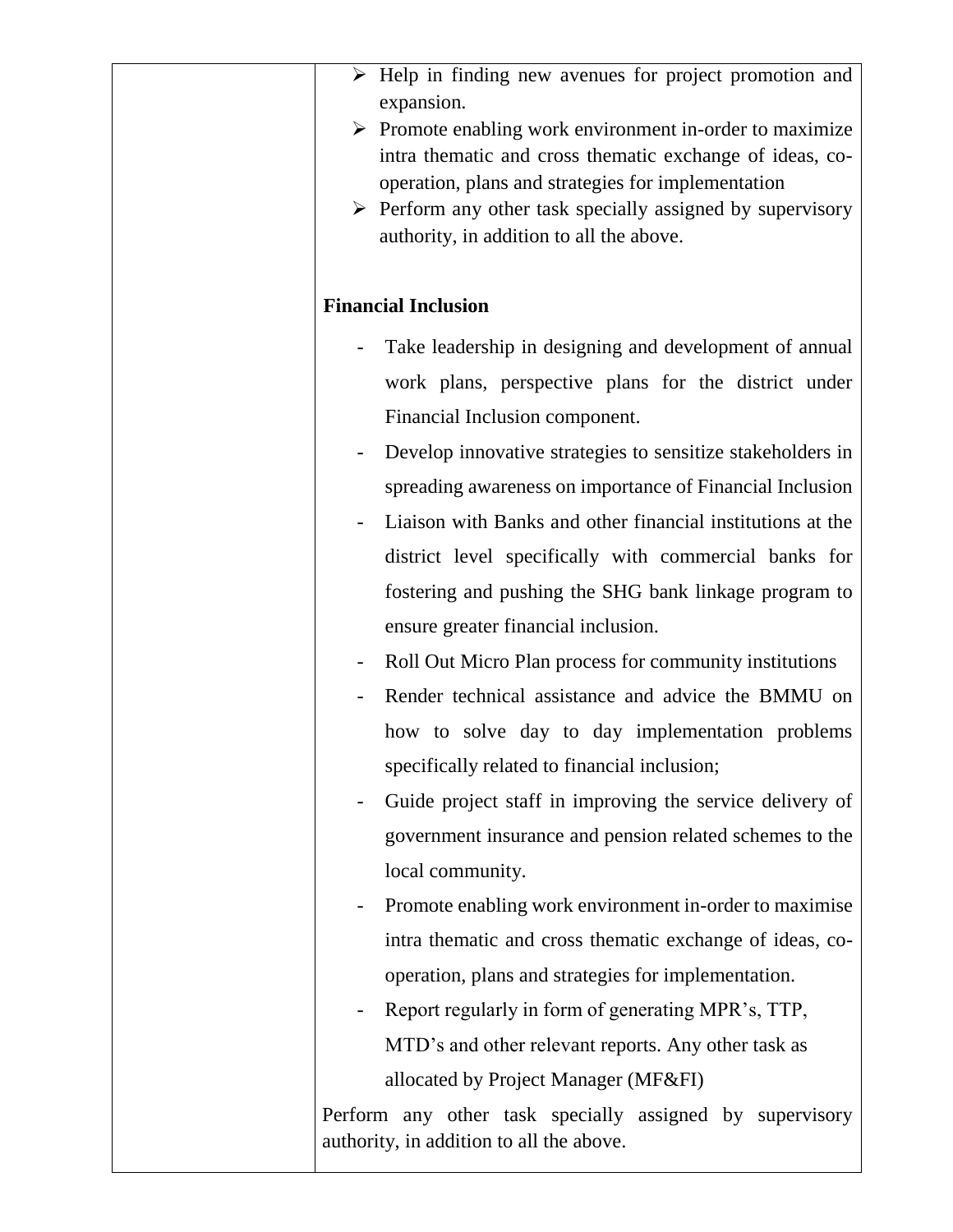| $\triangleright$ Help in finding new avenues for project promotion and<br>expansion.<br>$\triangleright$ Promote enabling work environment in-order to maximize<br>intra thematic and cross thematic exchange of ideas, co-<br>operation, plans and strategies for implementation<br>$\triangleright$ Perform any other task specially assigned by supervisory<br>authority, in addition to all the above.                                                                                                                                                                                                                                                                                                                                                                                                                                                                                                                                                                            |
|---------------------------------------------------------------------------------------------------------------------------------------------------------------------------------------------------------------------------------------------------------------------------------------------------------------------------------------------------------------------------------------------------------------------------------------------------------------------------------------------------------------------------------------------------------------------------------------------------------------------------------------------------------------------------------------------------------------------------------------------------------------------------------------------------------------------------------------------------------------------------------------------------------------------------------------------------------------------------------------|
| <b>Financial Inclusion</b>                                                                                                                                                                                                                                                                                                                                                                                                                                                                                                                                                                                                                                                                                                                                                                                                                                                                                                                                                            |
| Take leadership in designing and development of annual<br>work plans, perspective plans for the district under<br>Financial Inclusion component.<br>Develop innovative strategies to sensitize stakeholders in<br>spreading awareness on importance of Financial Inclusion<br>Liaison with Banks and other financial institutions at the<br>district level specifically with commercial banks for<br>fostering and pushing the SHG bank linkage program to<br>ensure greater financial inclusion.<br>Roll Out Micro Plan process for community institutions<br>Render technical assistance and advice the BMMU on<br>how to solve day to day implementation problems<br>specifically related to financial inclusion;<br>Guide project staff in improving the service delivery of<br>government insurance and pension related schemes to the<br>local community.<br>Promote enabling work environment in-order to maximise<br>intra thematic and cross thematic exchange of ideas, co- |
| operation, plans and strategies for implementation.<br>Report regularly in form of generating MPR's, TTP,<br>MTD's and other relevant reports. Any other task as<br>allocated by Project Manager (MF&FI)<br>Perform any other task specially assigned by supervisory<br>authority, in addition to all the above.                                                                                                                                                                                                                                                                                                                                                                                                                                                                                                                                                                                                                                                                      |